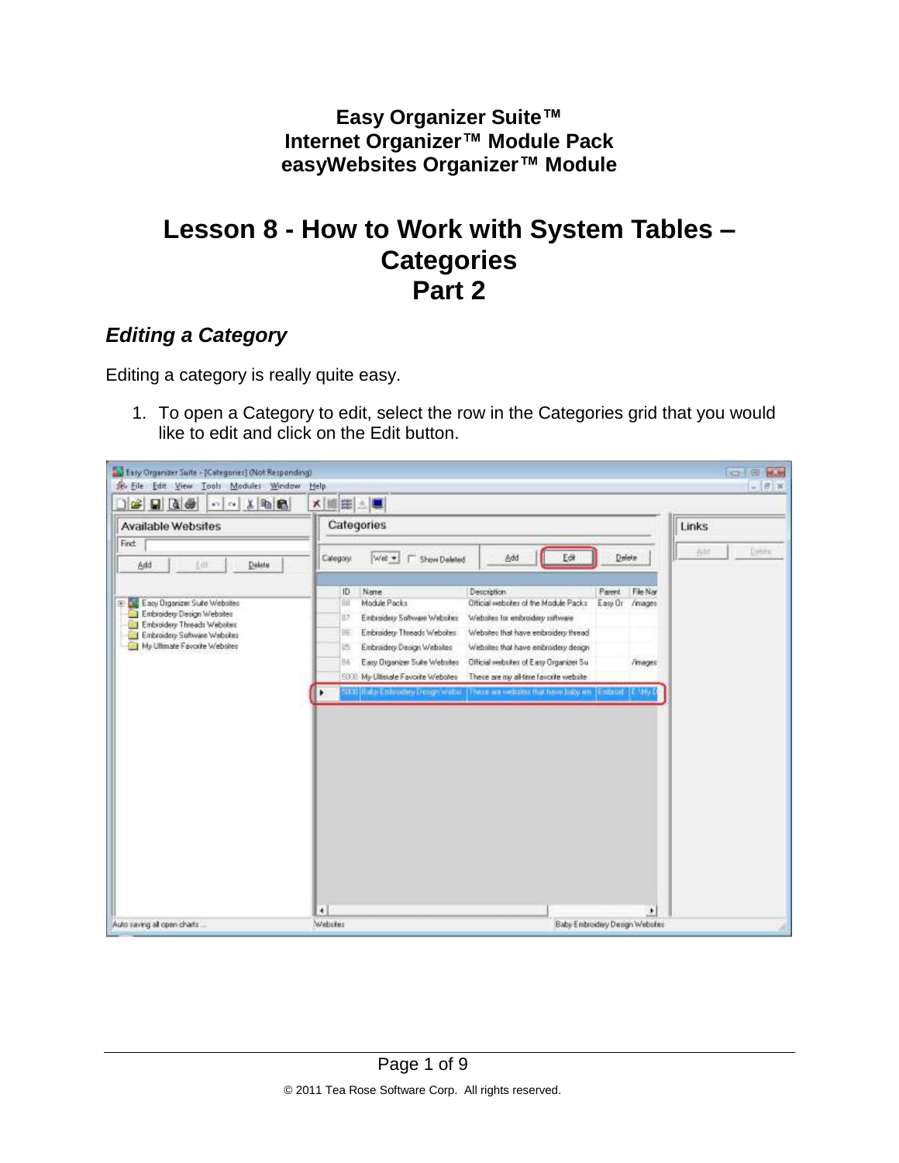**Easy Organizer Suite™ Internet Organizer™ Module Pack easyWebsites Organizer™ Module**

## **Lesson 8 - How to Work with System Tables – Categories Part 2**

## *Editing a Category*

Editing a category is really quite easy.

1. To open a Category to edit, select the row in the Categories grid that you would like to edit and click on the Edit button.

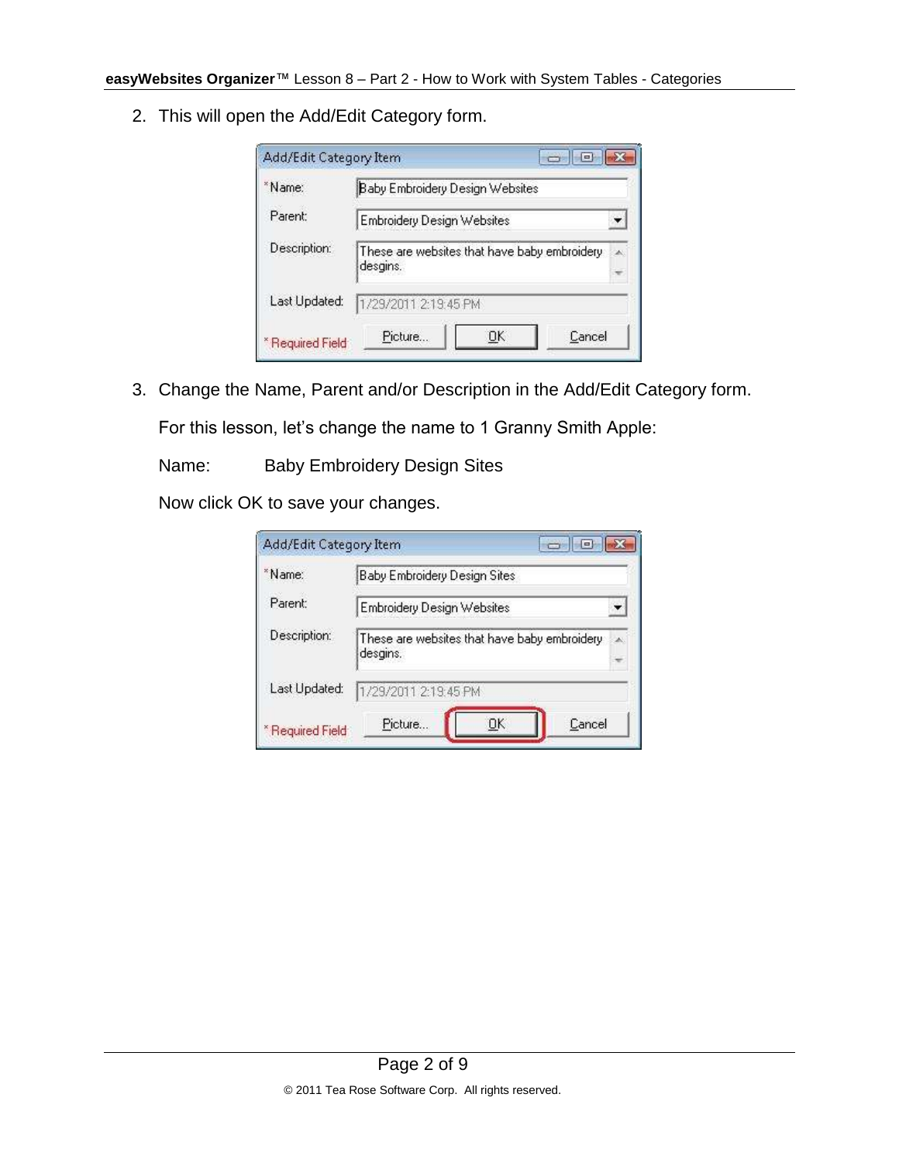2. This will open the Add/Edit Category form.

| Baby Embroidery Design Websites                          |    |
|----------------------------------------------------------|----|
| Embroidery Design Websites                               |    |
| These are websites that have baby embroidery<br>desgins. | z. |
| 1/29/2011 2:19:45 PM                                     |    |
|                                                          |    |

3. Change the Name, Parent and/or Description in the Add/Edit Category form.

For this lesson, let's change the name to 1 Granny Smith Apple:

Name: Baby Embroidery Design Sites

Now click OK to save your changes.

| Add/Edit Category Item | $=$                                                      |    |
|------------------------|----------------------------------------------------------|----|
| *Name:                 | Baby Embroidery Design Sites                             |    |
| Parent:                | <b>Embroidery Design Websites</b>                        |    |
| Description:           | These are websites that have baby embroidery<br>desgins. | ×. |
| Last Updated:          | 1/29/2011 2:19:45 PM                                     |    |
| *Required Field        | Picture<br>Cancel<br>ОK                                  |    |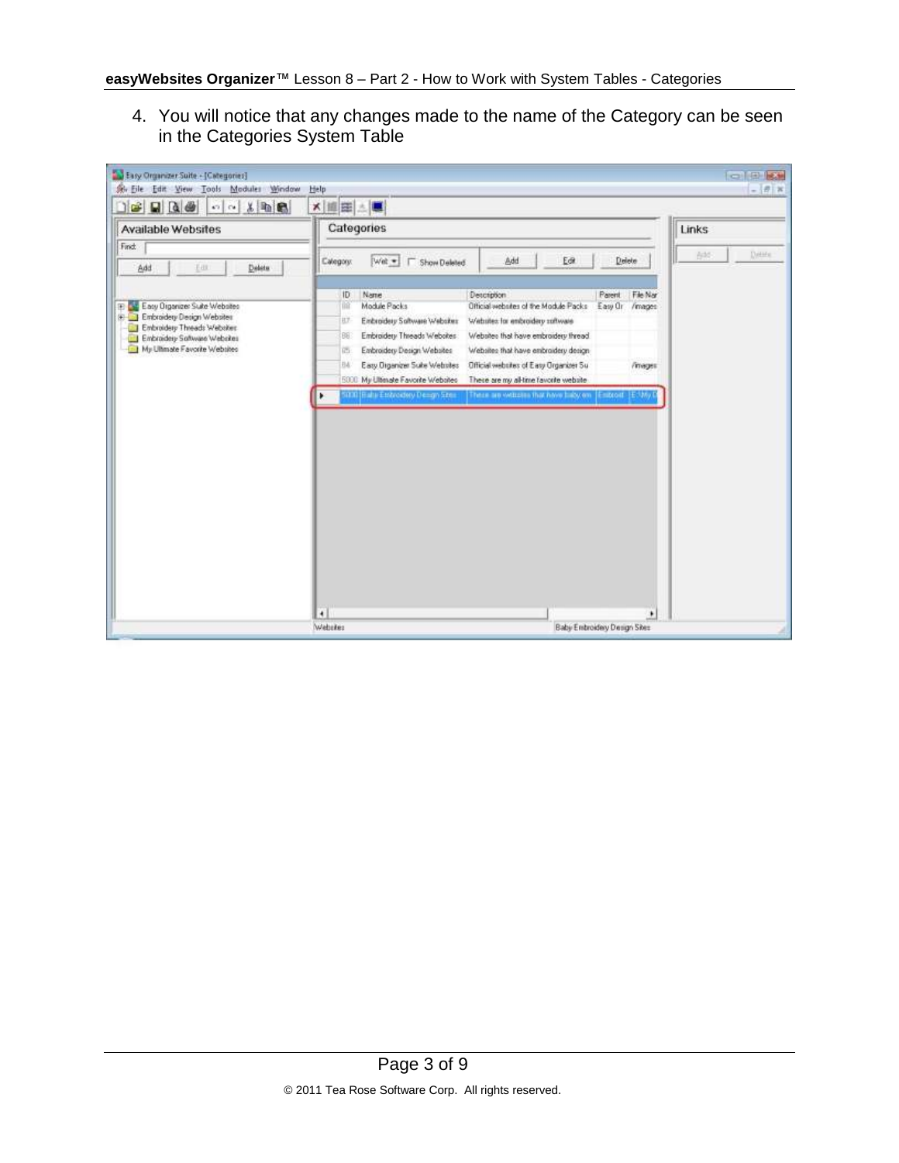4. You will notice that any changes made to the name of the Category can be seen in the Categories System Table

| $x = 0$<br>$\mathbf{B}$ as<br>5700                                                                                                                            | ×   田田 上                                                                                                                                                                                                                                                                                                                                                                                                                                                                          |
|---------------------------------------------------------------------------------------------------------------------------------------------------------------|-----------------------------------------------------------------------------------------------------------------------------------------------------------------------------------------------------------------------------------------------------------------------------------------------------------------------------------------------------------------------------------------------------------------------------------------------------------------------------------|
| Available Websites                                                                                                                                            | Categories<br>Links                                                                                                                                                                                                                                                                                                                                                                                                                                                               |
| Find                                                                                                                                                          | Detaile<br>bht                                                                                                                                                                                                                                                                                                                                                                                                                                                                    |
| Add<br>Deletu<br>Em.                                                                                                                                          | Add<br>Ect<br>Delete<br>Wet -     Show Deleted<br>Calegory:                                                                                                                                                                                                                                                                                                                                                                                                                       |
| Easy Organize: Suite Websites<br>E Embroidery Design Websites<br>Embroidery Threads Websites<br>Embroidery Software Websites<br>My Ullimate Favorite Websites | <b>Description</b><br>File Nar<br>ID<br>Name<br>Parent<br><b>Till</b><br>Module Packs<br>Official websites of the Module Packs<br>Easy Or<br>/mages<br>Einbroidery Software Websites<br>Websites for enbroidery software<br>日子<br>Embroidery Threads Websites<br>Websites that have embroidery thread<br>96<br>Enbroidery Design Websites<br>Websites that have enbroidery design-<br>西<br>Easy Organizer Suite Webstes<br>Official websites of Easy Organizer Su<br>BA<br>/mages |
|                                                                                                                                                               | My Ultimate Favorite Websites<br>There are my al-time favorite website<br>5000<br>5000 (Baha Estredory Dengo Street<br>These are witches that have belowers (Entroit, (E1M)                                                                                                                                                                                                                                                                                                       |
|                                                                                                                                                               |                                                                                                                                                                                                                                                                                                                                                                                                                                                                                   |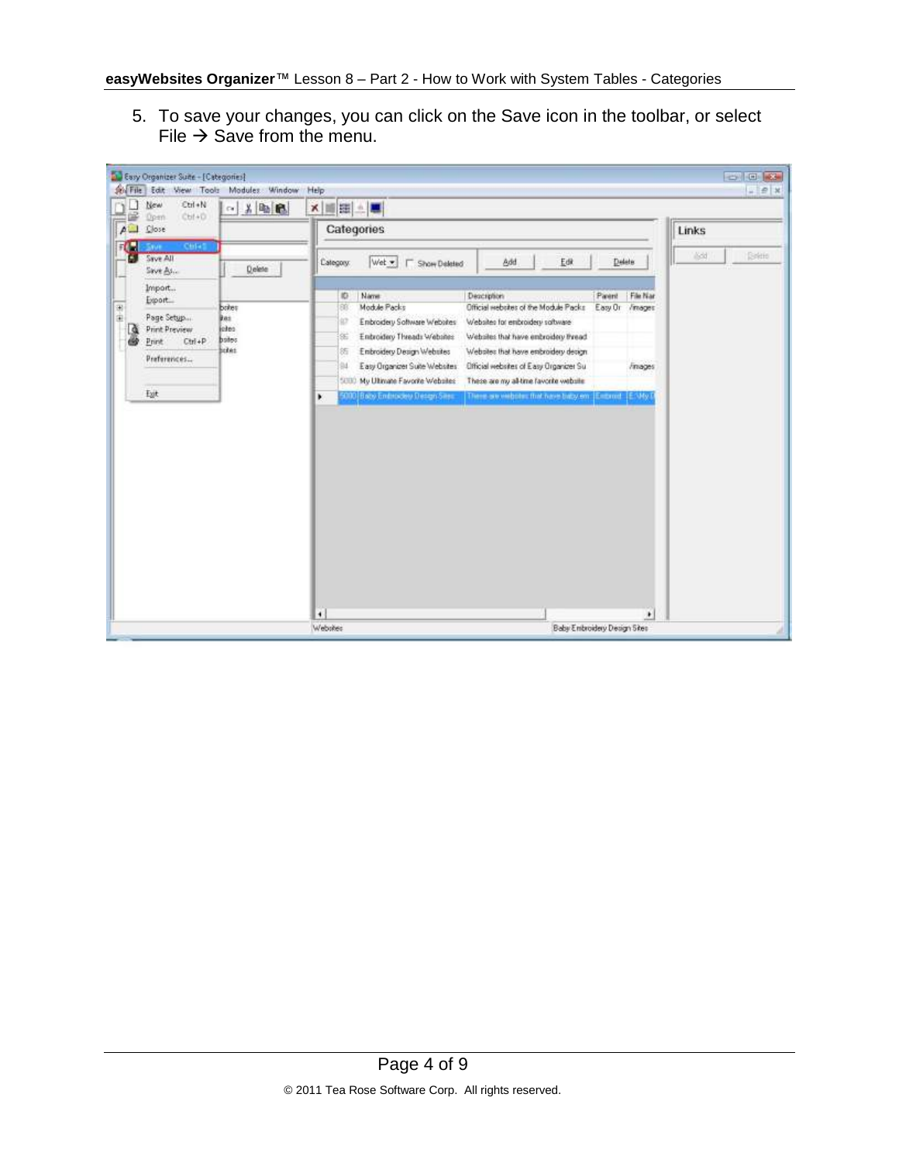5. To save your changes, you can click on the Save icon in the toolbar, or select File  $\rightarrow$  Save from the menu.

| So File        | D. Easy Organizer Suite - [Categories]<br>Edit: View Tools                                 | Modules Window                                               | Help                                                                                                                                                                                                                    |                                                                                                                                                                                                                           |                                                    | <b>CONTROL MODEL</b><br>$ e$ $x$ |
|----------------|--------------------------------------------------------------------------------------------|--------------------------------------------------------------|-------------------------------------------------------------------------------------------------------------------------------------------------------------------------------------------------------------------------|---------------------------------------------------------------------------------------------------------------------------------------------------------------------------------------------------------------------------|----------------------------------------------------|----------------------------------|
| e              | Ctrl+N<br>New<br>Chf+D                                                                     | - 人物品                                                        | x HE                                                                                                                                                                                                                    |                                                                                                                                                                                                                           |                                                    |                                  |
| $\overline{P}$ | <b>Dpen</b><br>Close                                                                       |                                                              | Categories                                                                                                                                                                                                              |                                                                                                                                                                                                                           |                                                    | Links                            |
| FO.            | sman<br><b>Co</b> Save All<br>Save As                                                      | Delete                                                       | Wet =<br>Category.<br>Show Deleted<br>г                                                                                                                                                                                 | Add<br>Edit                                                                                                                                                                                                               | Delete:                                            | <b>ISSN</b><br><b>Sritis</b>     |
| 田田<br>D        | Import<br>Export.<br>Page Setup<br><b>Print Preview</b><br>$Cut+P$<br>Print<br>Preferences | botes<br><b>Bas</b><br>johos <sup>1</sup><br>botes.<br>istes | 10<br>Name<br>Module Packs<br>88<br>92<br>Embroidery Software Websites<br>Enbroidery Threads Websites<br>SE.<br>Embroidery Design Websites<br>沂<br>94<br>Easy Organizer Suite Websites<br>My Ultimate Favorite Websites | Description<br>Official websites of the Module Packs<br>Websites for embroidery software<br>Websites that have enbroidery thread<br>Websites that have enbroidery decign<br><b>Official websites of Easy Organizer Su</b> | File Nar<br>Parent<br>Easy Or<br>/mages<br>Finages |                                  |
|                | Egt                                                                                        |                                                              | 5000<br>5000 Baby Endnockey Design Sess.<br>×                                                                                                                                                                           | These are my all-time favorite website<br>These are visibility that have baby on [Endroid] [ENAy]                                                                                                                         |                                                    |                                  |
|                |                                                                                            |                                                              | $\ddot{\phantom{1}}$                                                                                                                                                                                                    |                                                                                                                                                                                                                           | ٠                                                  |                                  |
|                |                                                                                            |                                                              | Webskes                                                                                                                                                                                                                 |                                                                                                                                                                                                                           | Baby Embroidery Design Sites                       |                                  |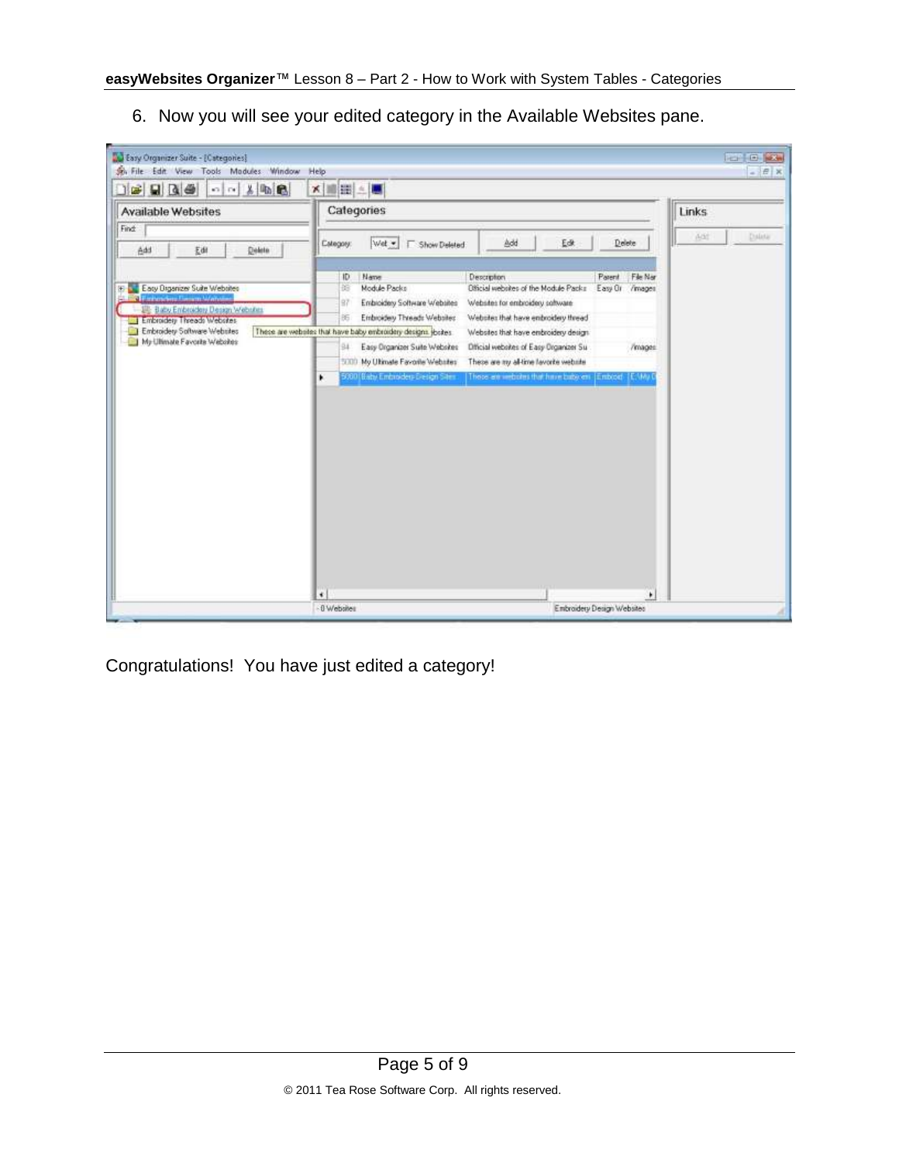6. Now you will see your edited category in the Available Websites pane.

| 「「太陽色<br>$\Box$ $\blacksquare$ $\Box$ $\Box$ $\blacksquare$                                                                                                      | <b>x BEE</b>                                                                                                                                                                      |                                                                                                                                                                                  |                                      |       |        |
|------------------------------------------------------------------------------------------------------------------------------------------------------------------|-----------------------------------------------------------------------------------------------------------------------------------------------------------------------------------|----------------------------------------------------------------------------------------------------------------------------------------------------------------------------------|--------------------------------------|-------|--------|
| Available Websites                                                                                                                                               | Categories                                                                                                                                                                        |                                                                                                                                                                                  |                                      | Links |        |
| Find:<br>Add<br>五面<br>Delete                                                                                                                                     | Wet -<br>Estegory:<br>Show Deleted                                                                                                                                                | Add<br>Edt.                                                                                                                                                                      | Delete                               | Add   | Dalata |
| Easy Digenizer Suite Websites<br>Đ<br><b>Contractors Department of citation</b><br>Lilly Baby Embroidery Design Webster<br><b>MI Embroidery Threads Websites</b> | Name<br>ID.<br>Module Packs<br>韻<br>97<br>Embroidery Software Websites<br>Embroidery Threads Websites<br>85                                                                       | <b>Description</b><br>Official websites of the Module Packs<br>Websites for embroidery software<br>Websites that have enbroidery thread                                          | File Nar<br>Parent<br>Easy Or /mages |       |        |
| Embroidery Software Websites<br>My Ultimate Favorite Websites                                                                                                    | These are websites that have baby enbroidery designs jostes<br>94<br>Easy Organizer Suite Websites<br>5000 My Ultimate Favorile Websites<br>5000 Baby Embroders Design Siles<br>٠ | Websites that have embroidery design<br>Dificial websites of Easy Drganizer Su<br>These are my al-time lavorite website<br>Those are websted that have buby en: [Embood] [E.My D | /mages                               |       |        |
|                                                                                                                                                                  |                                                                                                                                                                                   |                                                                                                                                                                                  |                                      |       |        |
|                                                                                                                                                                  |                                                                                                                                                                                   |                                                                                                                                                                                  |                                      |       |        |
|                                                                                                                                                                  |                                                                                                                                                                                   |                                                                                                                                                                                  |                                      |       |        |
|                                                                                                                                                                  |                                                                                                                                                                                   |                                                                                                                                                                                  |                                      |       |        |
|                                                                                                                                                                  |                                                                                                                                                                                   |                                                                                                                                                                                  |                                      |       |        |
|                                                                                                                                                                  |                                                                                                                                                                                   |                                                                                                                                                                                  |                                      |       |        |

Congratulations! You have just edited a category!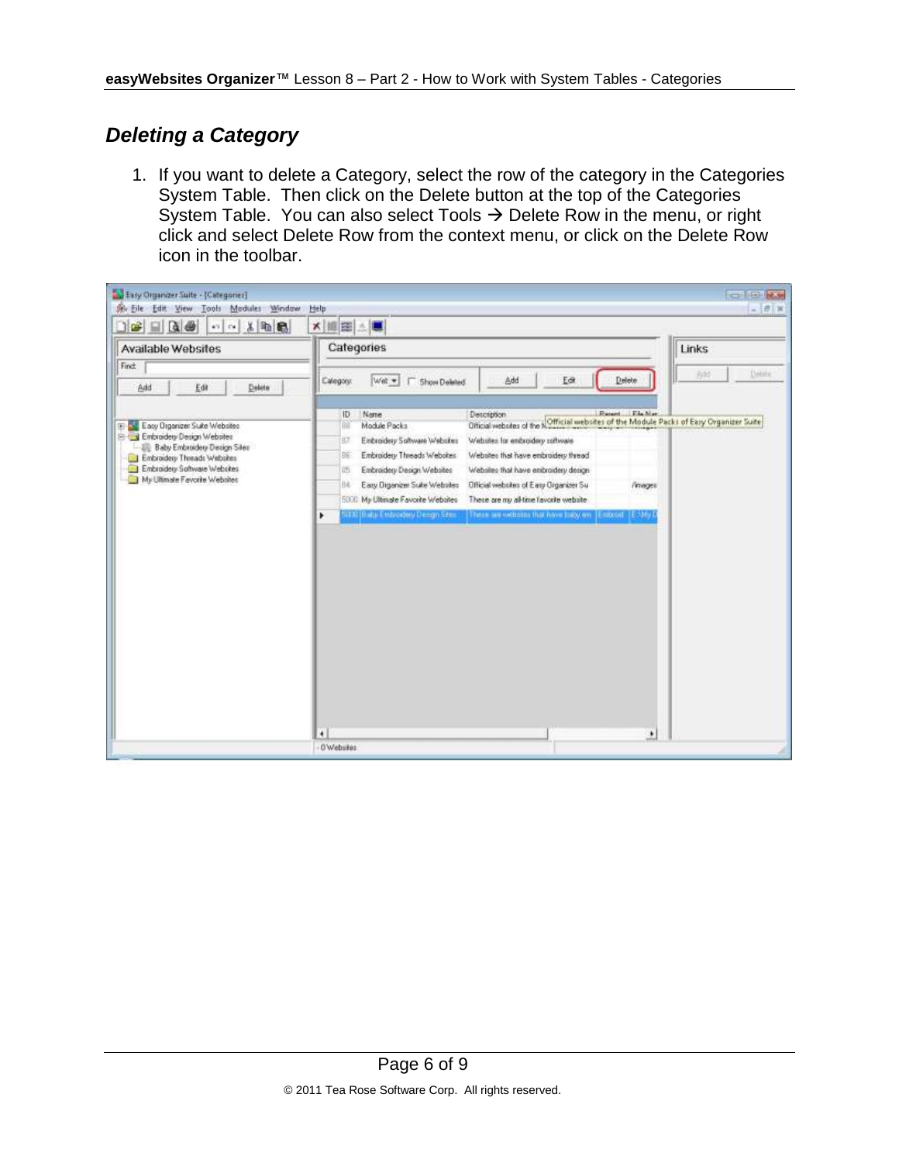## *Deleting a Category*

1. If you want to delete a Category, select the row of the category in the Categories System Table. Then click on the Delete button at the top of the Categories System Table. You can also select Tools  $\rightarrow$  Delete Row in the menu, or right click and select Delete Row from the context menu, or click on the Delete Row icon in the toolbar.

| Easy Organizer Suite - (Categories)<br>Sir Eile Edit View Tools Modules Window                                                                                                                           | Help                                                                                                                                                                                                                                                                                                                                                                                                                                                                                                                                                                                                                                                                                         | $= 10$<br>$ \theta$ x |
|----------------------------------------------------------------------------------------------------------------------------------------------------------------------------------------------------------|----------------------------------------------------------------------------------------------------------------------------------------------------------------------------------------------------------------------------------------------------------------------------------------------------------------------------------------------------------------------------------------------------------------------------------------------------------------------------------------------------------------------------------------------------------------------------------------------------------------------------------------------------------------------------------------------|-----------------------|
| $B = R$<br>$\begin{tabular}{c c c c c} \hline $\cdots$ & $\times$ & $\cdots$ & $\cdots$ \\ \hline \end{tabular}$                                                                                         | × 画田 上                                                                                                                                                                                                                                                                                                                                                                                                                                                                                                                                                                                                                                                                                       |                       |
| Available Websites<br>Find:                                                                                                                                                                              | Categories                                                                                                                                                                                                                                                                                                                                                                                                                                                                                                                                                                                                                                                                                   | Links                 |
| Delete<br>Add<br>Edit                                                                                                                                                                                    | Add<br>Delete<br>Eck<br>Calegory.<br>Wet -     Show Deleted                                                                                                                                                                                                                                                                                                                                                                                                                                                                                                                                                                                                                                  | Details<br>bit.       |
| E Easy Organize: Suite Websites<br>E Cy Embroidery Decign Websites<br>Bill: Baby Embroidery Design Siles<br>Embroidery Threads Websites<br>Embroidery Software Websites<br>My Ultimate Favorite Websites | Description<br>Florent Ede Mar<br>ID.<br>Name<br>Official websites of the NOfficial websites of the Module Packs of Easy Organizer Suite<br>110<br>Module Packs<br>Einbroidery Software Websites<br>Websites for enbroidery software<br>H.Z<br>Embroidery Threads Websites<br>Websites that have embroidery thread.<br>86<br>Embroidery Design Websites<br>Websites that have enbroidery design<br>西<br>Easy Organizer Suite Websites<br>Official websites of Easy Organizer Su<br>BA<br><i>i</i> mages<br>My Littmate Favorite Websites<br>These are my al-time favorite website<br>5000<br>SB30 (Balta Endrordery Demgn Stere<br>These are withdres that have belowen [Endroid [E3My]<br>٠ |                       |
|                                                                                                                                                                                                          | $\bullet$<br>٠<br>0 Websites                                                                                                                                                                                                                                                                                                                                                                                                                                                                                                                                                                                                                                                                 |                       |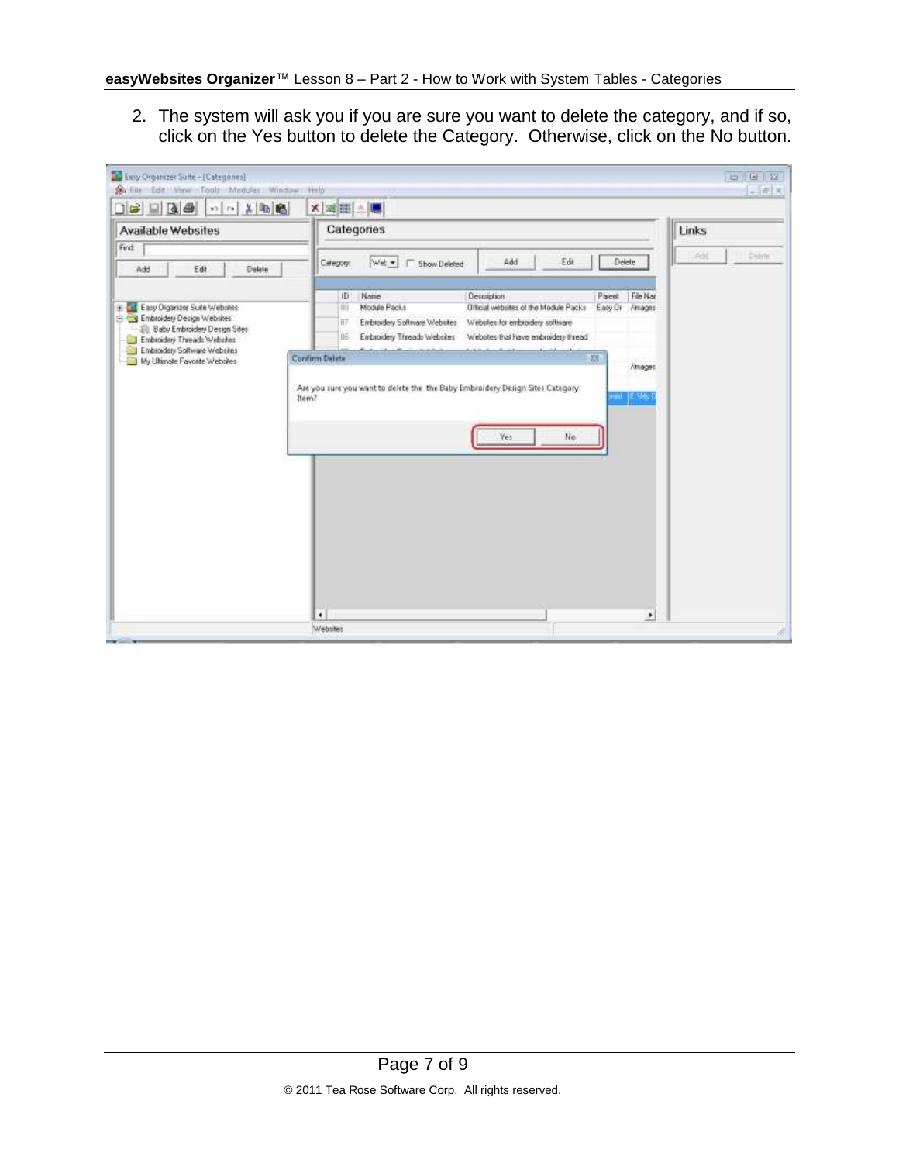2. The system will ask you if you are sure you want to delete the category, and if so, click on the Yes button to delete the Category. Otherwise, click on the No button.

| - 一 人 中 色<br>$\Box$<br>日時                                                                                                                                              | ×国田上                                                                                                                                                                                                                                                                                                                      |
|------------------------------------------------------------------------------------------------------------------------------------------------------------------------|---------------------------------------------------------------------------------------------------------------------------------------------------------------------------------------------------------------------------------------------------------------------------------------------------------------------------|
| Available Websites                                                                                                                                                     | Categories<br>Links                                                                                                                                                                                                                                                                                                       |
| Find<br>Add<br>Edit<br>Delete                                                                                                                                          | Delete<br>630<br>Add<br>Edit<br>Delete<br>Wet -<br>Calegory:<br>Show Deleted<br>n                                                                                                                                                                                                                                         |
| Easy Digancer Suite Websites<br>Ŧ.<br>El Cal Embroidery Design Websites<br>Baby Embroidery Design Sites<br>Embroidery Threads Websites<br>Embroidery Software Websites | File Nar<br>Name<br>Description<br>Parent<br>ID:<br>Module Packs<br>Official websites of the Module Packs<br>Easy Or / Amages<br><b>BU</b><br>Embroidery Software Websites<br>Websites for embroidery software<br>正<br>Embroidery Threads Websites<br>Websites that have embroidery thread<br>DE.<br>88<br>Confirm Delete |
| My Ultimate Favorite Websites                                                                                                                                          | /images<br>Are you sure you want to delete the the Baby Embroidery Design Sites Category<br>E My<br>Item?<br>mu<br>Yes<br>No                                                                                                                                                                                              |
|                                                                                                                                                                        |                                                                                                                                                                                                                                                                                                                           |
|                                                                                                                                                                        |                                                                                                                                                                                                                                                                                                                           |
|                                                                                                                                                                        |                                                                                                                                                                                                                                                                                                                           |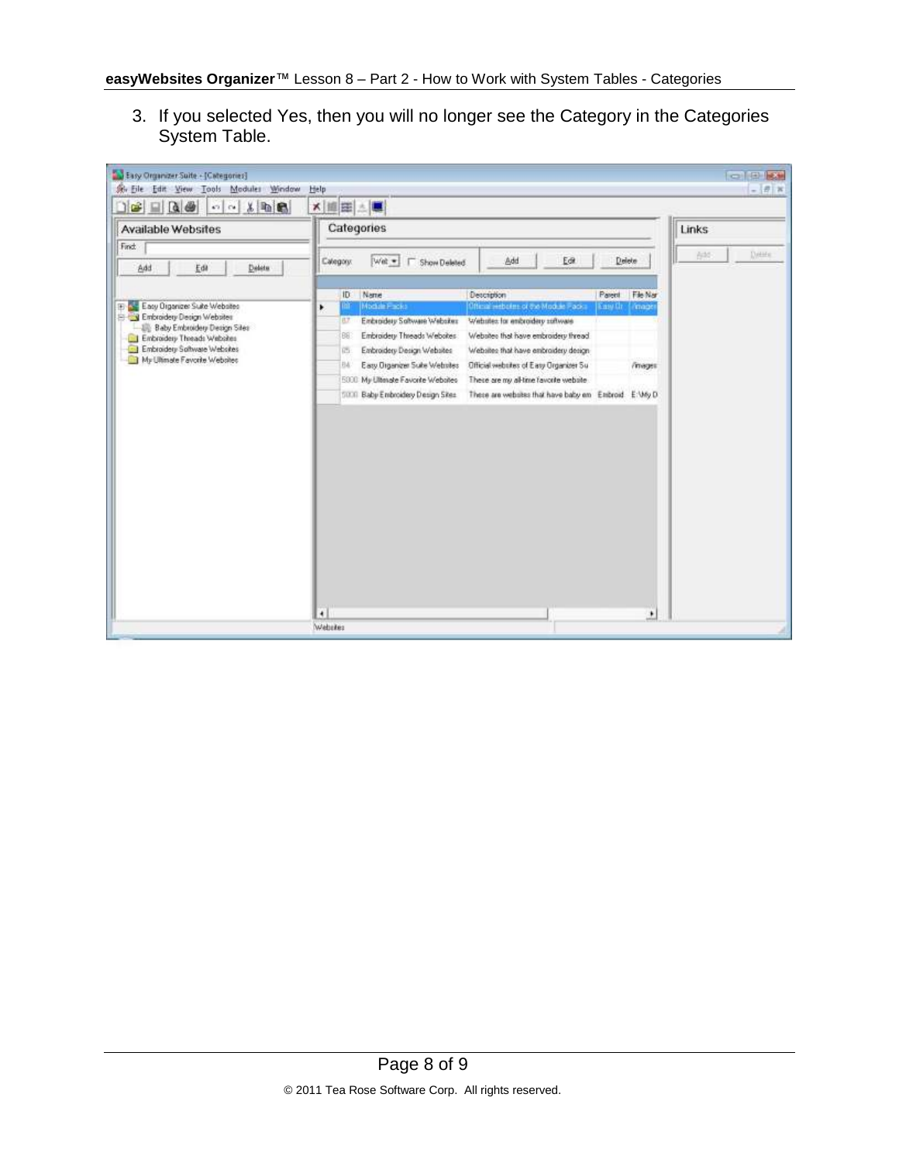3. If you selected Yes, then you will no longer see the Category in the Categories System Table.

| $x = 0$<br>$\Box$ $\rightarrow$ $\Box$ $\Box$ $\rightarrow$<br>5700 | × 編田 △■                                                                                                                                      |                                                      |
|---------------------------------------------------------------------|----------------------------------------------------------------------------------------------------------------------------------------------|------------------------------------------------------|
| Available Websites                                                  | Categories                                                                                                                                   | Links                                                |
| Find:                                                               |                                                                                                                                              | Detaile<br>bit.                                      |
| Add<br>Deletu<br>Edit                                               | Add<br>Calegory:<br>$ \mathcal{A}(\mathfrak{g})  =$<br><b>F</b> Show Deleted                                                                 | Delete<br>Eck                                        |
|                                                                     | Description<br>Name<br>ID:                                                                                                                   | Parent<br>File Nar                                   |
| Easy Digenze: Suite Websites<br>E Cy Embroidery Design Websites     | Official institution of the Module Place:<br>Module Packs<br>٠<br>m<br>Embroidery Software Websites<br>Webstex for enbroidery software<br>87 | Easy Or   mage                                       |
| Bill: Baby Embroidery Design Sites                                  | Embroidery Threads Websites<br>Websites that have embroidery thread<br>86                                                                    |                                                      |
| Embroidery Threads Websites<br>Embroidery Software Websites         | Embroidery Design Websites<br>Websites that have enbroidery design-<br>西                                                                     |                                                      |
| My Ultimate Favorite Websites                                       | Easy Organizer Suite Websites<br>Official websites of Easy Organizer Su<br>BA                                                                | /mages                                               |
|                                                                     | 5000 My Literate Favorite Websites<br>There are my al-time favorite website                                                                  |                                                      |
|                                                                     | SUCE Baby Embroidery Design Sites                                                                                                            | These are websites that have baby em Enbroid E:VAy D |
|                                                                     |                                                                                                                                              |                                                      |